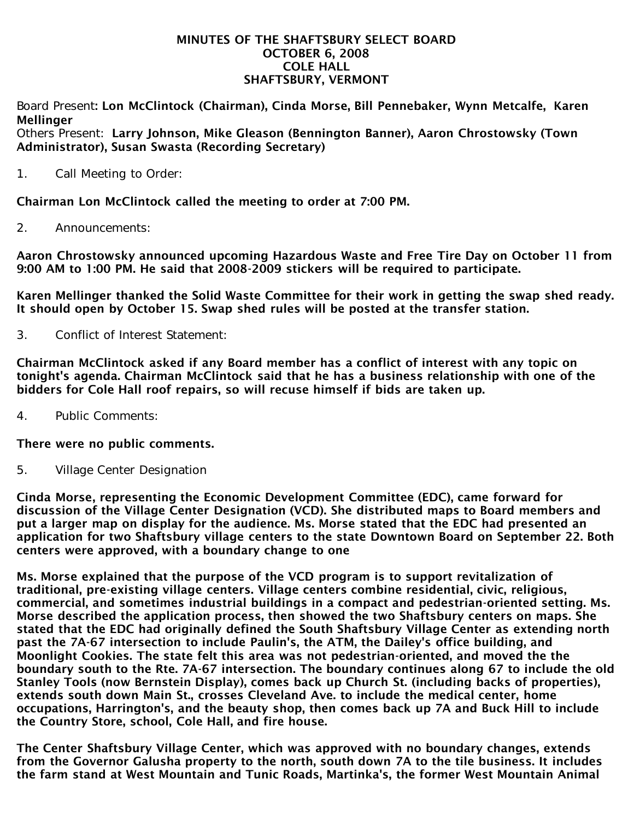#### MINUTES OF THE SHAFTSBURY SELECT BOARD OCTOBER 6, 2008 COLE HALL SHAFTSBURY, VERMONT

Board Present: Lon McClintock (Chairman), Cinda Morse, Bill Pennebaker, Wynn Metcalfe, Karen **Mellinger** 

Others Present: Larry Johnson, Mike Gleason (Bennington Banner), Aaron Chrostowsky (Town Administrator), Susan Swasta (Recording Secretary)

1. Call Meeting to Order:

Chairman Lon McClintock called the meeting to order at 7:00 PM.

2. Announcements:

Aaron Chrostowsky announced upcoming Hazardous Waste and Free Tire Day on October 11 from 9:00 AM to 1:00 PM. He said that 2008-2009 stickers will be required to participate.

Karen Mellinger thanked the Solid Waste Committee for their work in getting the swap shed ready. It should open by October 15. Swap shed rules will be posted at the transfer station.

3. Conflict of Interest Statement:

Chairman McClintock asked if any Board member has a conflict of interest with any topic on tonight's agenda. Chairman McClintock said that he has a business relationship with one of the bidders for Cole Hall roof repairs, so will recuse himself if bids are taken up.

4. Public Comments:

# There were no public comments.

5. Village Center Designation

Cinda Morse, representing the Economic Development Committee (EDC), came forward for discussion of the Village Center Designation (VCD). She distributed maps to Board members and put a larger map on display for the audience. Ms. Morse stated that the EDC had presented an application for two Shaftsbury village centers to the state Downtown Board on September 22. Both centers were approved, with a boundary change to one

Ms. Morse explained that the purpose of the VCD program is to support revitalization of traditional, pre-existing village centers. Village centers combine residential, civic, religious, commercial, and sometimes industrial buildings in a compact and pedestrian-oriented setting. Ms. Morse described the application process, then showed the two Shaftsbury centers on maps. She stated that the EDC had originally defined the South Shaftsbury Village Center as extending north past the 7A-67 intersection to include Paulin's, the ATM, the Dailey's office building, and Moonlight Cookies. The state felt this area was not pedestrian-oriented, and moved the the boundary south to the Rte. 7A-67 intersection. The boundary continues along 67 to include the old Stanley Tools (now Bernstein Display), comes back up Church St. (including backs of properties), extends south down Main St., crosses Cleveland Ave. to include the medical center, home occupations, Harrington's, and the beauty shop, then comes back up 7A and Buck Hill to include the Country Store, school, Cole Hall, and fire house.

The Center Shaftsbury Village Center, which was approved with no boundary changes, extends from the Governor Galusha property to the north, south down 7A to the tile business. It includes the farm stand at West Mountain and Tunic Roads, Martinka's, the former West Mountain Animal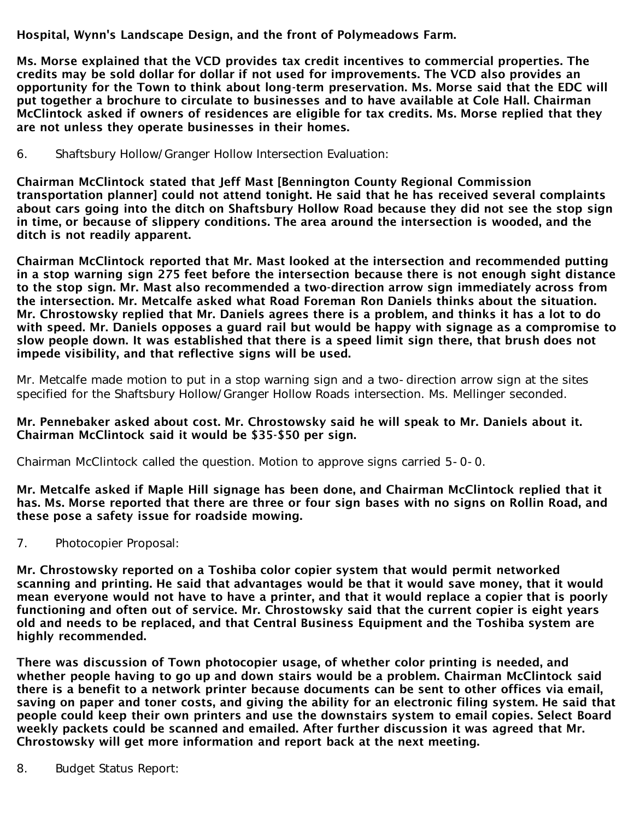Hospital, Wynn's Landscape Design, and the front of Polymeadows Farm.

Ms. Morse explained that the VCD provides tax credit incentives to commercial properties. The credits may be sold dollar for dollar if not used for improvements. The VCD also provides an opportunity for the Town to think about long-term preservation. Ms. Morse said that the EDC will put together a brochure to circulate to businesses and to have available at Cole Hall. Chairman McClintock asked if owners of residences are eligible for tax credits. Ms. Morse replied that they are not unless they operate businesses in their homes.

6. Shaftsbury Hollow/Granger Hollow Intersection Evaluation:

Chairman McClintock stated that Jeff Mast [Bennington County Regional Commission transportation planner] could not attend tonight. He said that he has received several complaints about cars going into the ditch on Shaftsbury Hollow Road because they did not see the stop sign in time, or because of slippery conditions. The area around the intersection is wooded, and the ditch is not readily apparent.

Chairman McClintock reported that Mr. Mast looked at the intersection and recommended putting in a stop warning sign 275 feet before the intersection because there is not enough sight distance to the stop sign. Mr. Mast also recommended a two-direction arrow sign immediately across from the intersection. Mr. Metcalfe asked what Road Foreman Ron Daniels thinks about the situation. Mr. Chrostowsky replied that Mr. Daniels agrees there is a problem, and thinks it has a lot to do with speed. Mr. Daniels opposes a guard rail but would be happy with signage as a compromise to slow people down. It was established that there is a speed limit sign there, that brush does not impede visibility, and that reflective signs will be used.

Mr. Metcalfe made motion to put in a stop warning sign and a two-direction arrow sign at the sites specified for the Shaftsbury Hollow/Granger Hollow Roads intersection. Ms. Mellinger seconded.

# Mr. Pennebaker asked about cost. Mr. Chrostowsky said he will speak to Mr. Daniels about it. Chairman McClintock said it would be \$35-\$50 per sign.

Chairman McClintock called the question. Motion to approve signs carried 5-0-0.

Mr. Metcalfe asked if Maple Hill signage has been done, and Chairman McClintock replied that it has. Ms. Morse reported that there are three or four sign bases with no signs on Rollin Road, and these pose a safety issue for roadside mowing.

7. Photocopier Proposal:

Mr. Chrostowsky reported on a Toshiba color copier system that would permit networked scanning and printing. He said that advantages would be that it would save money, that it would mean everyone would not have to have a printer, and that it would replace a copier that is poorly functioning and often out of service. Mr. Chrostowsky said that the current copier is eight years old and needs to be replaced, and that Central Business Equipment and the Toshiba system are highly recommended.

There was discussion of Town photocopier usage, of whether color printing is needed, and whether people having to go up and down stairs would be a problem. Chairman McClintock said there is a benefit to a network printer because documents can be sent to other offices via email, saving on paper and toner costs, and giving the ability for an electronic filing system. He said that people could keep their own printers and use the downstairs system to email copies. Select Board weekly packets could be scanned and emailed. After further discussion it was agreed that Mr. Chrostowsky will get more information and report back at the next meeting.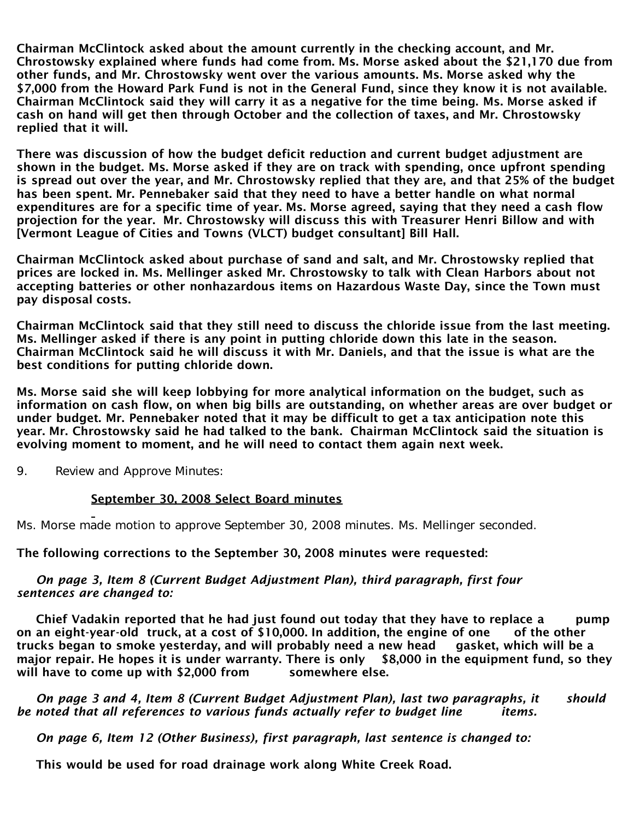Chairman McClintock asked about the amount currently in the checking account, and Mr. Chrostowsky explained where funds had come from. Ms. Morse asked about the \$21,170 due from other funds, and Mr. Chrostowsky went over the various amounts. Ms. Morse asked why the \$7,000 from the Howard Park Fund is not in the General Fund, since they know it is not available. Chairman McClintock said they will carry it as a negative for the time being. Ms. Morse asked if cash on hand will get then through October and the collection of taxes, and Mr. Chrostowsky replied that it will.

There was discussion of how the budget deficit reduction and current budget adjustment are shown in the budget. Ms. Morse asked if they are on track with spending, once upfront spending is spread out over the year, and Mr. Chrostowsky replied that they are, and that 25% of the budget has been spent. Mr. Pennebaker said that they need to have a better handle on what normal expenditures are for a specific time of year. Ms. Morse agreed, saying that they need a cash flow projection for the year. Mr. Chrostowsky will discuss this with Treasurer Henri Billow and with [Vermont League of Cities and Towns (VLCT) budget consultant] Bill Hall.

Chairman McClintock asked about purchase of sand and salt, and Mr. Chrostowsky replied that prices are locked in. Ms. Mellinger asked Mr. Chrostowsky to talk with Clean Harbors about not accepting batteries or other nonhazardous items on Hazardous Waste Day, since the Town must pay disposal costs.

Chairman McClintock said that they still need to discuss the chloride issue from the last meeting. Ms. Mellinger asked if there is any point in putting chloride down this late in the season. Chairman McClintock said he will discuss it with Mr. Daniels, and that the issue is what are the best conditions for putting chloride down.

Ms. Morse said she will keep lobbying for more analytical information on the budget, such as information on cash flow, on when big bills are outstanding, on whether areas are over budget or under budget. Mr. Pennebaker noted that it may be difficult to get a tax anticipation note this year. Mr. Chrostowsky said he had talked to the bank. Chairman McClintock said the situation is evolving moment to moment, and he will need to contact them again next week.

9. Review and Approve Minutes:

# September 30, 2008 Select Board minutes

Ms. Morse made motion to approve September 30, 2008 minutes. Ms. Mellinger seconded.

The following corrections to the September 30, 2008 minutes were requested:

#### *On page 3, Item 8 (Current Budget Adjustment Plan), third paragraph, first four sentences are changed to:*

Chief Vadakin reported that he had just found out today that they have to replace a pump on an eight-year-old truck, at a cost of \$10,000. In addition, the engine of one of the other trucks began to smoke yesterday, and will probably need a new head gasket, which will be a major repair. He hopes it is under warranty. There is only \$8,000 in the equipment fund, so they will have to come up with \$2,000 from somewhere else.

 *On page 3 and 4, Item 8 (Current Budget Adjustment Plan), last two paragraphs, it should be noted that all references to various funds actually refer to budget line items.*

 *On page 6, Item 12 (Other Business), first paragraph, last sentence is changed to:*

This would be used for road drainage work along White Creek Road.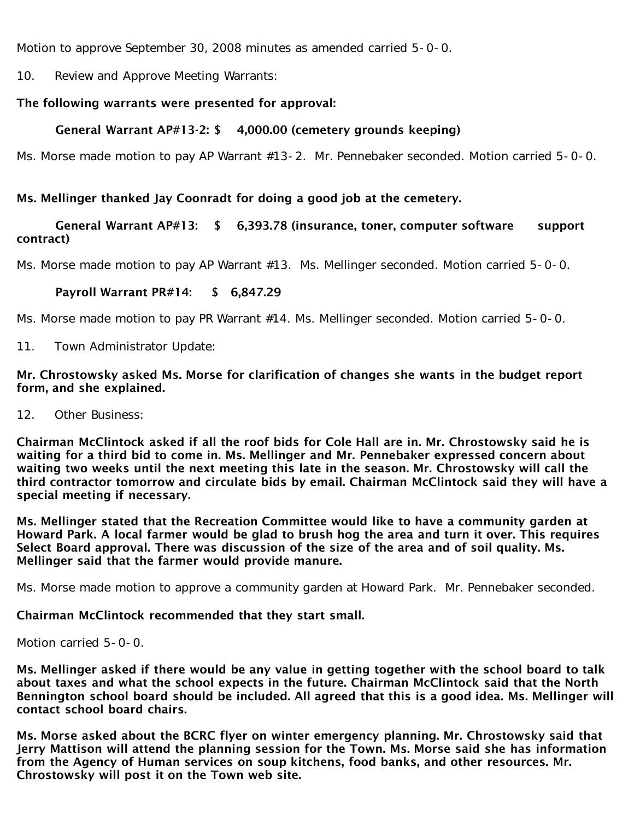Motion to approve September 30, 2008 minutes as amended carried 5-0-0.

10. Review and Approve Meeting Warrants:

## The following warrants were presented for approval:

## General Warrant AP#13-2: \$ 4,000.00 (cemetery grounds keeping)

Ms. Morse made motion to pay AP Warrant #13-2. Mr. Pennebaker seconded. Motion carried 5-0-0.

### Ms. Mellinger thanked Jay Coonradt for doing a good job at the cemetery.

## General Warrant AP#13: \$ 6,393.78 (insurance, toner, computer software support contract)

Ms. Morse made motion to pay AP Warrant #13. Ms. Mellinger seconded. Motion carried 5-0-0.

### Payroll Warrant PR#14: \$ 6,847.29

Ms. Morse made motion to pay PR Warrant #14. Ms. Mellinger seconded. Motion carried 5-0-0.

11. Town Administrator Update:

#### Mr. Chrostowsky asked Ms. Morse for clarification of changes she wants in the budget report form, and she explained.

12. Other Business:

Chairman McClintock asked if all the roof bids for Cole Hall are in. Mr. Chrostowsky said he is waiting for a third bid to come in. Ms. Mellinger and Mr. Pennebaker expressed concern about waiting two weeks until the next meeting this late in the season. Mr. Chrostowsky will call the third contractor tomorrow and circulate bids by email. Chairman McClintock said they will have a special meeting if necessary.

Ms. Mellinger stated that the Recreation Committee would like to have a community garden at Howard Park. A local farmer would be glad to brush hog the area and turn it over. This requires Select Board approval. There was discussion of the size of the area and of soil quality. Ms. Mellinger said that the farmer would provide manure.

Ms. Morse made motion to approve a community garden at Howard Park. Mr. Pennebaker seconded.

#### Chairman McClintock recommended that they start small.

Motion carried 5-0-0.

Ms. Mellinger asked if there would be any value in getting together with the school board to talk about taxes and what the school expects in the future. Chairman McClintock said that the North Bennington school board should be included. All agreed that this is a good idea. Ms. Mellinger will contact school board chairs.

Ms. Morse asked about the BCRC flyer on winter emergency planning. Mr. Chrostowsky said that Jerry Mattison will attend the planning session for the Town. Ms. Morse said she has information from the Agency of Human services on soup kitchens, food banks, and other resources. Mr. Chrostowsky will post it on the Town web site.